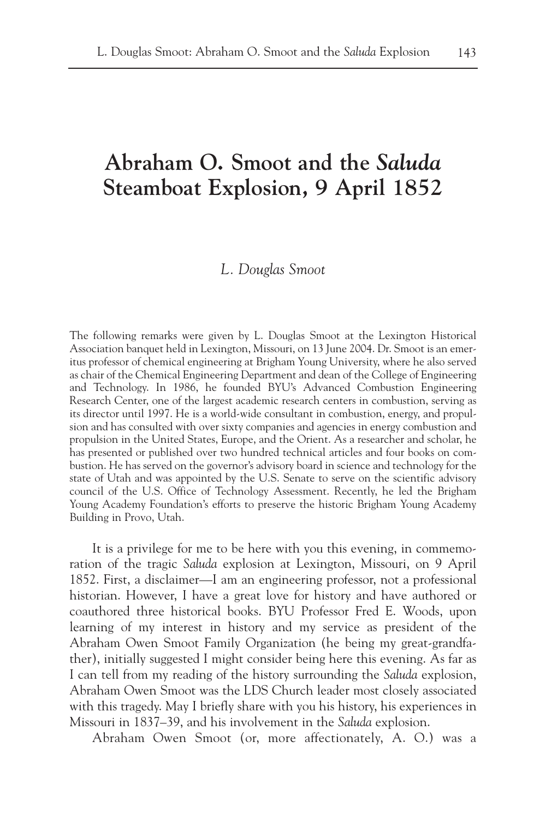## **Abraham O. Smoot and the** *Saluda* **Steamboat Explosion, 9 April 1852**

## *L. Douglas Smoot*

The following remarks were given by L. Douglas Smoot at the Lexington Historical Association banquet held in Lexington, Missouri, on 13 June 2004. Dr. Smoot is an emeritus professor of chemical engineering at Brigham Young University, where he also served as chair of the Chemical Engineering Department and dean of the College of Engineering and Technology. In 1986, he founded BYU's Advanced Combustion Engineering Research Center, one of the largest academic research centers in combustion, serving as its director until 1997. He is a world-wide consultant in combustion, energy, and propulsion and has consulted with over sixty companies and agencies in energy combustion and propulsion in the United States, Europe, and the Orient. As a researcher and scholar, he has presented or published over two hundred technical articles and four books on combustion. He has served on the governor's advisory board in science and technology for the state of Utah and was appointed by the U.S. Senate to serve on the scientific advisory council of the U.S. Office of Technology Assessment. Recently, he led the Brigham Young Academy Foundation's efforts to preserve the historic Brigham Young Academy Building in Provo, Utah.

It is a privilege for me to be here with you this evening, in commemoration of the tragic *Saluda* explosion at Lexington, Missouri, on 9 April 1852. First, a disclaimer—I am an engineering professor, not a professional historian. However, I have a great love for history and have authored or coauthored three historical books. BYU Professor Fred E. Woods, upon learning of my interest in history and my service as president of the Abraham Owen Smoot Family Organization (he being my great-grandfather), initially suggested I might consider being here this evening. As far as I can tell from my reading of the history surrounding the *Saluda* explosion, Abraham Owen Smoot was the LDS Church leader most closely associated with this tragedy. May I briefly share with you his history, his experiences in Missouri in 1837–39, and his involvement in the *Saluda* explosion.

Abraham Owen Smoot (or, more affectionately, A. O.) was a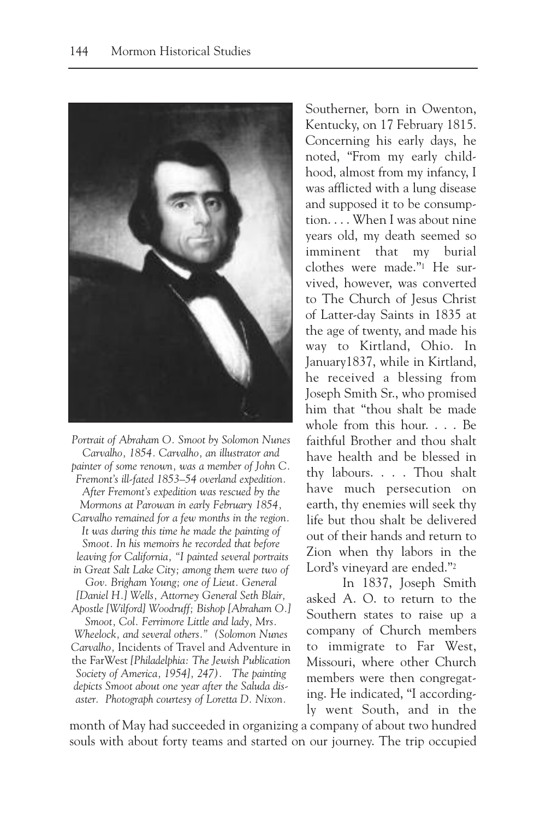

*Portrait of Abraham O. Smoot by Solomon Nunes Carvalho, 1854. Carvalho, an illustrator and painter of some renown, was a member of John C. Fremont's ill-fated 1853–54 overland expedition. After Fremont's expedition was rescued by the Mormons at Parowan in early February 1854, Carvalho remained for a few months in the region. It was during this time he made the painting of Smoot. In his memoirs he recorded that before leaving for California, "I painted several portraits in Great Salt Lake City; among them were two of Gov. Brigham Young; one of Lieut. General [Daniel H.] Wells, Attorney General Seth Blair, Apostle [Wilford] Woodruff; Bishop [Abraham O.] Smoot, Col. Ferrimore Little and lady, Mrs. Wheelock, and several others." (Solomon Nunes Carvalho,* Incidents of Travel and Adventure in the FarWest *[Philadelphia: The Jewish Publication Society of America, 1954], 247). The painting depicts Smoot about one year after the Saluda disaster. Photograph courtesy of Loretta D. Nixon.*

Southerner, born in Owenton, Kentucky, on 17 February 1815. Concerning his early days, he noted, "From my early childhood, almost from my infancy, I was afflicted with a lung disease and supposed it to be consumption. . . . When I was about nine years old, my death seemed so imminent that my burial clothes were made."1 He survived, however, was converted to The Church of Jesus Christ of Latter-day Saints in 1835 at the age of twenty, and made his way to Kirtland, Ohio. In January1837, while in Kirtland, he received a blessing from Joseph Smith Sr., who promised him that "thou shalt be made whole from this hour. . . . Be faithful Brother and thou shalt have health and be blessed in thy labours. . . . Thou shalt have much persecution on earth, thy enemies will seek thy life but thou shalt be delivered out of their hands and return to Zion when thy labors in the Lord's vineyard are ended."2

In 1837, Joseph Smith asked A. O. to return to the Southern states to raise up a company of Church members to immigrate to Far West, Missouri, where other Church members were then congregating. He indicated, "I accordingly went South, and in the

month of May had succeeded in organizing a company of about two hundred souls with about forty teams and started on our journey. The trip occupied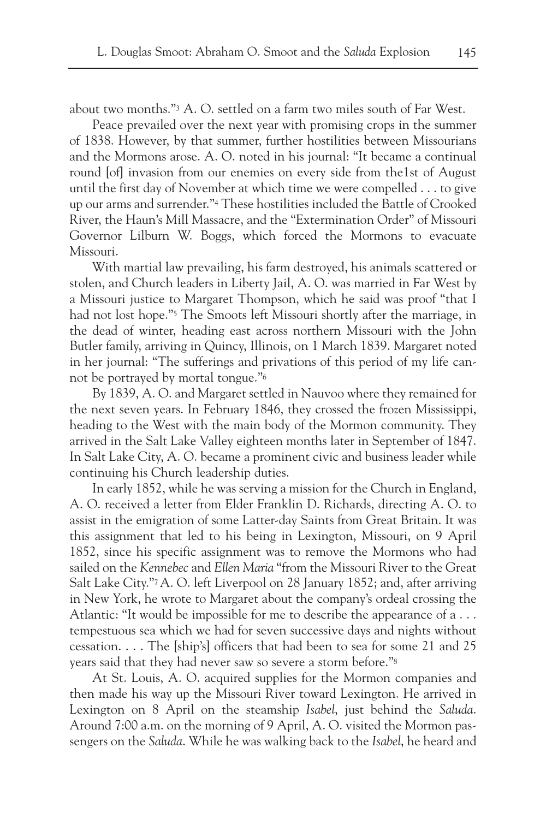about two months."3 A. O. settled on a farm two miles south of Far West.

Peace prevailed over the next year with promising crops in the summer of 1838. However, by that summer, further hostilities between Missourians and the Mormons arose. A. O. noted in his journal: "It became a continual round [of] invasion from our enemies on every side from the1st of August until the first day of November at which time we were compelled . . . to give up our arms and surrender."4 These hostilities included the Battle of Crooked River, the Haun's Mill Massacre, and the "Extermination Order" of Missouri Governor Lilburn W. Boggs, which forced the Mormons to evacuate Missouri.

With martial law prevailing, his farm destroyed, his animals scattered or stolen, and Church leaders in Liberty Jail, A. O. was married in Far West by a Missouri justice to Margaret Thompson, which he said was proof "that I had not lost hope."5 The Smoots left Missouri shortly after the marriage, in the dead of winter, heading east across northern Missouri with the John Butler family, arriving in Quincy, Illinois, on 1 March 1839. Margaret noted in her journal: "The sufferings and privations of this period of my life cannot be portrayed by mortal tongue."6

By 1839, A. O. and Margaret settled in Nauvoo where they remained for the next seven years. In February 1846, they crossed the frozen Mississippi, heading to the West with the main body of the Mormon community. They arrived in the Salt Lake Valley eighteen months later in September of 1847. In Salt Lake City, A. O. became a prominent civic and business leader while continuing his Church leadership duties.

In early 1852, while he was serving a mission for the Church in England, A. O. received a letter from Elder Franklin D. Richards, directing A. O. to assist in the emigration of some Latter-day Saints from Great Britain. It was this assignment that led to his being in Lexington, Missouri, on 9 April 1852, since his specific assignment was to remove the Mormons who had sailed on the *Kennebec* and *Ellen Maria* "from the Missouri River to the Great Salt Lake City."<sup>7</sup> A. O. left Liverpool on 28 January 1852; and, after arriving in New York, he wrote to Margaret about the company's ordeal crossing the Atlantic: "It would be impossible for me to describe the appearance of a . . . tempestuous sea which we had for seven successive days and nights without cessation. . . . The [ship's] officers that had been to sea for some 21 and 25 years said that they had never saw so severe a storm before."8

At St. Louis, A. O. acquired supplies for the Mormon companies and then made his way up the Missouri River toward Lexington. He arrived in Lexington on 8 April on the steamship *Isabel*, just behind the *Saluda*. Around 7:00 a.m. on the morning of 9 April, A. O. visited the Mormon passengers on the *Saluda*. While he was walking back to the *Isabel*, he heard and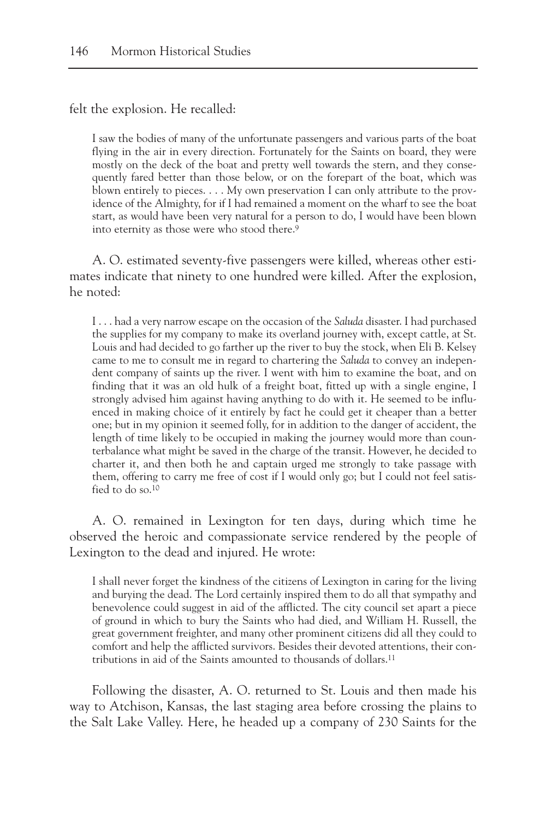felt the explosion. He recalled:

I saw the bodies of many of the unfortunate passengers and various parts of the boat flying in the air in every direction. Fortunately for the Saints on board, they were mostly on the deck of the boat and pretty well towards the stern, and they consequently fared better than those below, or on the forepart of the boat, which was blown entirely to pieces. . . . My own preservation I can only attribute to the providence of the Almighty, for if I had remained a moment on the wharf to see the boat start, as would have been very natural for a person to do, I would have been blown into eternity as those were who stood there.9

A. O. estimated seventy-five passengers were killed, whereas other estimates indicate that ninety to one hundred were killed. After the explosion, he noted:

I . . . had a very narrow escape on the occasion of the *Saluda* disaster. I had purchased the supplies for my company to make its overland journey with, except cattle, at St. Louis and had decided to go farther up the river to buy the stock, when Eli B. Kelsey came to me to consult me in regard to chartering the *Saluda* to convey an independent company of saints up the river. I went with him to examine the boat, and on finding that it was an old hulk of a freight boat, fitted up with a single engine, I strongly advised him against having anything to do with it. He seemed to be influenced in making choice of it entirely by fact he could get it cheaper than a better one; but in my opinion it seemed folly, for in addition to the danger of accident, the length of time likely to be occupied in making the journey would more than counterbalance what might be saved in the charge of the transit. However, he decided to charter it, and then both he and captain urged me strongly to take passage with them, offering to carry me free of cost if I would only go; but I could not feel satisfied to do so.<sup>10</sup>

A. O. remained in Lexington for ten days, during which time he observed the heroic and compassionate service rendered by the people of Lexington to the dead and injured. He wrote:

I shall never forget the kindness of the citizens of Lexington in caring for the living and burying the dead. The Lord certainly inspired them to do all that sympathy and benevolence could suggest in aid of the afflicted. The city council set apart a piece of ground in which to bury the Saints who had died, and William H. Russell, the great government freighter, and many other prominent citizens did all they could to comfort and help the afflicted survivors. Besides their devoted attentions, their contributions in aid of the Saints amounted to thousands of dollars.11

Following the disaster, A. O. returned to St. Louis and then made his way to Atchison, Kansas, the last staging area before crossing the plains to the Salt Lake Valley. Here, he headed up a company of 230 Saints for the